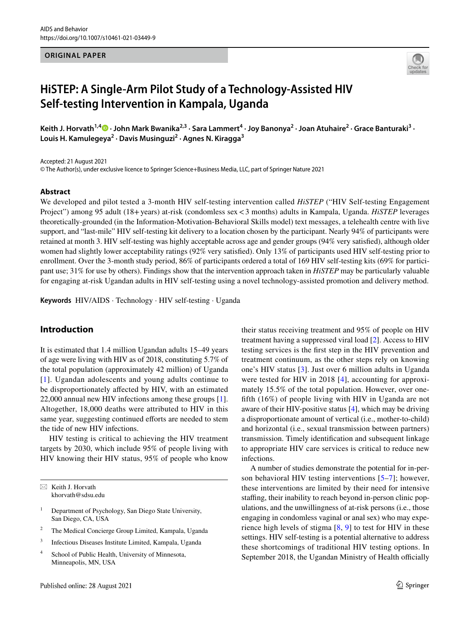### **ORIGINAL PAPER**



# **HiSTEP: A Single‑Arm Pilot Study of a Technology‑Assisted HIV Self‑testing Intervention in Kampala, Uganda**

KeithJ. Horvath<sup>1,4</sup> D · John Mark Bwanika<sup>2,3</sup> · Sara Lammert<sup>4</sup> · Joy Banonya<sup>2</sup> · Joan Atuhaire<sup>2</sup> · Grace Banturaki<sup>3</sup> · **Louis H. Kamulegeya2 · Davis Musinguzi2 · Agnes N. Kiragga3**

Accepted: 21 August 2021

© The Author(s), under exclusive licence to Springer Science+Business Media, LLC, part of Springer Nature 2021

### **Abstract**

We developed and pilot tested a 3-month HIV self-testing intervention called *HiSTEP* ("HIV Self-testing Engagement Project") among 95 adult (18+years) at-risk (condomless sex<3 months) adults in Kampala, Uganda. *HiSTEP* leverages theoretically-grounded (in the Information-Motivation-Behavioral Skills model) text messages, a telehealth centre with live support, and "last-mile" HIV self-testing kit delivery to a location chosen by the participant. Nearly 94% of participants were retained at month 3. HIV self-testing was highly acceptable across age and gender groups (94% very satisfed), although older women had slightly lower acceptability ratings (92% very satisfed). Only 13% of participants used HIV self-testing prior to enrollment. Over the 3-month study period, 86% of participants ordered a total of 169 HIV self-testing kits (69% for participant use; 31% for use by others). Findings show that the intervention approach taken in *HiSTEP* may be particularly valuable for engaging at-risk Ugandan adults in HIV self-testing using a novel technology-assisted promotion and delivery method.

**Keywords** HIV/AIDS · Technology · HIV self-testing · Uganda

### **Introduction**

It is estimated that 1.4 million Ugandan adults 15–49 years of age were living with HIV as of 2018, constituting 5.7% of the total population (approximately 42 million) of Uganda [[1\]](#page-10-0). Ugandan adolescents and young adults continue to be disproportionately afected by HIV, with an estimated 22,000 annual new HIV infections among these groups [\[1](#page-10-0)]. Altogether, 18,000 deaths were attributed to HIV in this same year, suggesting continued efforts are needed to stem the tide of new HIV infections.

HIV testing is critical to achieving the HIV treatment targets by 2030, which include 95% of people living with HIV knowing their HIV status, 95% of people who know

 $\boxtimes$  Keith J. Horvath khorvath@sdsu.edu

- <sup>1</sup> Department of Psychology, San Diego State University, San Diego, CA, USA
- <sup>2</sup> The Medical Concierge Group Limited, Kampala, Uganda
- <sup>3</sup> Infectious Diseases Institute Limited, Kampala, Uganda
- <sup>4</sup> School of Public Health, University of Minnesota, Minneapolis, MN, USA

their status receiving treatment and 95% of people on HIV treatment having a suppressed viral load [[2\]](#page-10-1). Access to HIV testing services is the frst step in the HIV prevention and treatment continuum, as the other steps rely on knowing one's HIV status [[3](#page-10-2)]. Just over 6 million adults in Uganda were tested for HIV in 2018 [\[4\]](#page-10-3), accounting for approximately 15.5% of the total population. However, over oneffth (16%) of people living with HIV in Uganda are not aware of their HIV-positive status [\[4\]](#page-10-3), which may be driving a disproportionate amount of vertical (i.e., mother-to-child) and horizontal (i.e., sexual transmission between partners) transmission. Timely identifcation and subsequent linkage to appropriate HIV care services is critical to reduce new infections.

A number of studies demonstrate the potential for in-person behavioral HIV testing interventions [\[5–](#page-10-4)[7\]](#page-10-5); however, these interventions are limited by their need for intensive staffing, their inability to reach beyond in-person clinic populations, and the unwillingness of at-risk persons (i.e., those engaging in condomless vaginal or anal sex) who may experience high levels of stigma  $[8, 9]$  $[8, 9]$  $[8, 9]$  to test for HIV in these settings. HIV self-testing is a potential alternative to address these shortcomings of traditional HIV testing options. In September 2018, the Ugandan Ministry of Health officially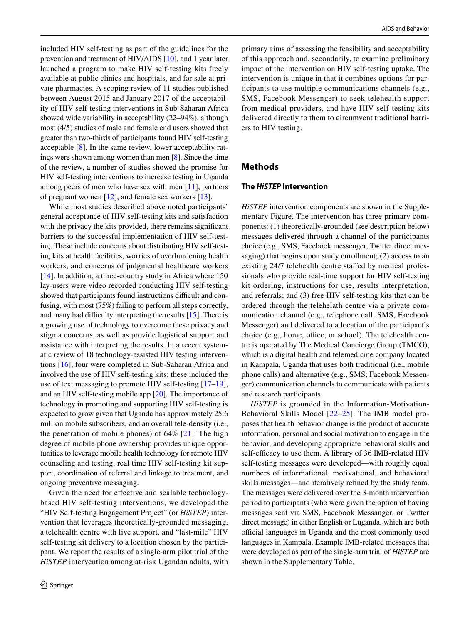included HIV self-testing as part of the guidelines for the prevention and treatment of HIV/AIDS [[10\]](#page-10-8), and 1 year later launched a program to make HIV self-testing kits freely available at public clinics and hospitals, and for sale at private pharmacies. A scoping review of 11 studies published between August 2015 and January 2017 of the acceptability of HIV self-testing interventions in Sub-Saharan Africa showed wide variability in acceptability (22–94%), although most (4/5) studies of male and female end users showed that greater than two-thirds of participants found HIV self-testing acceptable [[8\]](#page-10-6). In the same review, lower acceptability ratings were shown among women than men [\[8](#page-10-6)]. Since the time of the review, a number of studies showed the promise for HIV self-testing interventions to increase testing in Uganda among peers of men who have sex with men [[11\]](#page-10-9), partners of pregnant women [[12](#page-10-10)], and female sex workers [[13\]](#page-10-11).

While most studies described above noted participants' general acceptance of HIV self-testing kits and satisfaction with the privacy the kits provided, there remains signifcant barriers to the successful implementation of HIV self-testing. These include concerns about distributing HIV self-testing kits at health facilities, worries of overburdening health workers, and concerns of judgmental healthcare workers [\[14](#page-10-12)]. In addition, a three-country study in Africa where 150 lay-users were video recorded conducting HIV self-testing showed that participants found instructions difficult and confusing, with most (75%) failing to perform all steps correctly, and many had difficulty interpreting the results  $[15]$  $[15]$  $[15]$ . There is a growing use of technology to overcome these privacy and stigma concerns, as well as provide logistical support and assistance with interpreting the results. In a recent systematic review of 18 technology-assisted HIV testing interventions [[16\]](#page-10-14), four were completed in Sub-Saharan Africa and involved the use of HIV self-testing kits; these included the use of text messaging to promote HIV self-testing [[17](#page-10-15)[–19](#page-10-16)], and an HIV self-testing mobile app [[20\]](#page-10-17). The importance of technology in promoting and supporting HIV self-testing is expected to grow given that Uganda has approximately 25.6 million mobile subscribers, and an overall tele-density (i.e., the penetration of mobile phones) of  $64\%$  [\[21\]](#page-10-18). The high degree of mobile phone ownership provides unique opportunities to leverage mobile health technology for remote HIV counseling and testing, real time HIV self-testing kit support, coordination of referral and linkage to treatment, and ongoing preventive messaging.

Given the need for efective and scalable technologybased HIV self-testing interventions, we developed the "HIV Self-testing Engagement Project" (or *HiSTEP*) intervention that leverages theoretically-grounded messaging, a telehealth centre with live support, and "last-mile" HIV self-testing kit delivery to a location chosen by the participant. We report the results of a single-arm pilot trial of the *HiSTEP* intervention among at-risk Ugandan adults, with primary aims of assessing the feasibility and acceptability of this approach and, secondarily, to examine preliminary impact of the intervention on HIV self-testing uptake. The intervention is unique in that it combines options for participants to use multiple communications channels (e.g., SMS, Facebook Messenger) to seek telehealth support from medical providers, and have HIV self-testing kits delivered directly to them to circumvent traditional barriers to HIV testing.

### **Methods**

### **The** *HiSTEP* **Intervention**

*HiSTEP* intervention components are shown in the Supplementary Figure. The intervention has three primary components: (1) theoretically-grounded (see description below) messages delivered through a channel of the participants choice (e.g., SMS, Facebook messenger, Twitter direct messaging) that begins upon study enrollment; (2) access to an existing 24/7 telehealth centre stafed by medical professionals who provide real-time support for HIV self-testing kit ordering, instructions for use, results interpretation, and referrals; and (3) free HIV self-testing kits that can be ordered through the telehelath centre via a private communication channel (e.g., telephone call, SMS, Facebook Messenger) and delivered to a location of the participant's choice (e.g., home, office, or school). The telehealth centre is operated by The Medical Concierge Group (TMCG), which is a digital health and telemedicine company located in Kampala, Uganda that uses both traditional (i.e., mobile phone calls) and alternative (e.g., SMS; Facebook Messenger) communication channels to communicate with patients and research participants.

*HiSTEP* is grounded in the Information-Motivation-Behavioral Skills Model [[22](#page-10-19)–[25](#page-10-20)]. The IMB model proposes that health behavior change is the product of accurate information, personal and social motivation to engage in the behavior, and developing appropriate behavioral skills and self-efficacy to use them. A library of 36 IMB-related HIV self-testing messages were developed—with roughly equal numbers of informational, motivational, and behavioral skills messages—and iteratively refned by the study team. The messages were delivered over the 3-month intervention period to participants (who were given the option of having messages sent via SMS, Facebook Messanger, or Twitter direct message) in either English or Luganda, which are both official languages in Uganda and the most commonly used languages in Kampala. Example IMB-related messages that were developed as part of the single-arm trial of *HiSTEP* are shown in the Supplementary Table.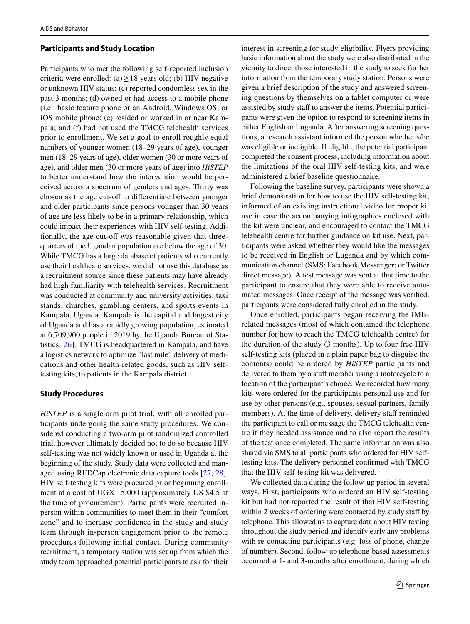### **Participants and Study Location**

Participants who met the following self-reported inclusion criteria were enrolled: (a)≥18 years old; (b) HIV-negative or unknown HIV status; (c) reported condomless sex in the past 3 months; (d) owned or had access to a mobile phone (i.e., basic feature phone or an Android, Windows OS, or iOS mobile phone; (e) resided or worked in or near Kampala; and (f) had not used the TMCG telehealth services prior to enrollment. We set a goal to enroll roughly equal numbers of younger women (18–29 years of age), younger men (18–29 years of age), older women (30 or more years of age), and older men (30 or more years of age) into *HiSTEP* to better understand how the intervention would be perceived across a spectrum of genders and ages. Thirty was chosen as the age cut-off to differentiate between younger and older participants since persons younger than 30 years of age are less likely to be in a primary relationship, which could impact their experiences with HIV self-testing. Additionally, the age cut-off was reasonable given that threequarters of the Ugandan population are below the age of 30. While TMCG has a large database of patients who currently use their healthcare services, we did not use this database as a recruitment source since these patients may have already had high familiarity with telehealth services. Recruitment was conducted at community and university activities, taxi stands, churches, gambling centers, and sports events in Kampala, Uganda. Kampala is the capital and largest city of Uganda and has a rapidly growing population, estimated at 6,709,900 people in 2019 by the Uganda Bureau of Statistics [[26\]](#page-10-21). TMCG is headquartered in Kampala, and have a logistics network to optimize "last mile" delivery of medications and other health-related goods, such as HIV selftesting kits, to patients in the Kampala district.

### **Study Procedures**

*HiSTEP* is a single-arm pilot trial, with all enrolled participants undergoing the same study procedures. We considered conducting a two-arm pilot randomized controlled trial, however ultimately decided not to do so because HIV self-testing was not widely known or used in Uganda at the beginning of the study. Study data were collected and managed using REDCap electronic data capture tools [[27,](#page-10-22) [28](#page-10-23)]. HIV self-testing kits were procured prior beginning enrollment at a cost of UGX 15,000 (approximately US \$4.5 at the time of procurement). Participants were recruited inperson within communities to meet them in their "comfort zone" and to increase confdence in the study and study team through in-person engagement prior to the remote procedures following initial contact. During community recruitment, a temporary station was set up from which the study team approached potential participants to ask for their interest in screening for study eligibility. Flyers providing basic information about the study were also distributed in the vicinity to direct those interested in the study to seek further information from the temporary study station. Persons were given a brief description of the study and answered screening questions by themselves on a tablet computer or were assisted by study staff to answer the items. Potential participants were given the option to respond to screening items in either English or Luganda. After answering screening questions, a research assistant informed the person whether s/he was eligible or ineligible. If eligible, the potential participant completed the consent process, including information about the limitations of the oral HIV self-testing kits, and were administered a brief baseline questionnaire.

Following the baseline survey, participants were shown a brief demonstration for how to use the HIV self-testing kit, informed of an existing instructional video for proper kit use in case the accompanying infographics enclosed with the kit were unclear, and encouraged to contact the TMCG telehealth centre for further guidance on kit use. Next, participants were asked whether they would like the messages to be received in English or Luganda and by which communication channel (SMS; Facebook Messenger; or Twitter direct message). A test message was sent at that time to the participant to ensure that they were able to receive automated messages. Once receipt of the message was verifed, participants were considered fully enrolled in the study.

Once enrolled, participants began receiving the IMBrelated messages (most of which contained the telephone number for how to reach the TMCG telehealth centre) for the duration of the study (3 months). Up to four free HIV self-testing kits (placed in a plain paper bag to disguise the contents) could be ordered by *HiSTEP* participants and delivered to them by a staff member using a motorcycle to a location of the participant's choice. We recorded how many kits were ordered for the participants personal use and for use by other persons (e.g., spouses, sexual partners, family members). At the time of delivery, delivery staff reminded the participant to call or message the TMCG telehealth centre if they needed assistance and to also report the results of the test once completed. The same information was also shared via SMS to all participants who ordered for HIV selftesting kits. The delivery personnel confrmed with TMCG that the HIV self-testing kit was delivered.

We collected data during the follow-up period in several ways. First, participants who ordered an HIV self-testing kit but had not reported the result of that HIV self-testing within 2 weeks of ordering were contacted by study staff by telephone. This allowed us to capture data about HIV testing throughout the study period and identify early any problems with re-contacting participants (e.g. loss of phone, change of number). Second, follow-up telephone-based assessments occurred at 1- and 3-months after enrollment, during which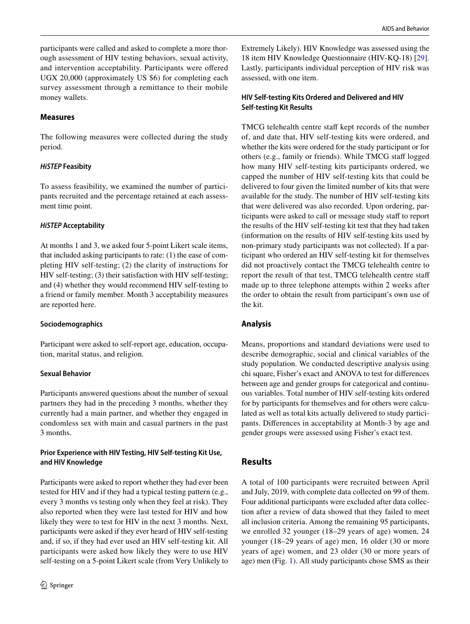participants were called and asked to complete a more thorough assessment of HIV testing behaviors, sexual activity, and intervention acceptability. Participants were ofered UGX 20,000 (approximately US \$6) for completing each survey assessment through a remittance to their mobile money wallets.

# **Measures**

The following measures were collected during the study period.

# *HiSTEP* **Feasibity**

To assess feasibility, we examined the number of participants recruited and the percentage retained at each assessment time point.

# *HiSTEP* **Acceptability**

At months 1 and 3, we asked four 5-point Likert scale items, that included asking participants to rate: (1) the ease of completing HIV self-testing; (2) the clarity of instructions for HIV self-testing; (3) their satisfaction with HIV self-testing; and (4) whether they would recommend HIV self-testing to a friend or family member. Month 3 acceptability measures are reported here.

# **Sociodemographics**

Participant were asked to self-report age, education, occupation, marital status, and religion.

# **Sexual Behavior**

Participants answered questions about the number of sexual partners they had in the preceding 3 months, whether they currently had a main partner, and whether they engaged in condomless sex with main and casual partners in the past 3 months.

# **Prior Experience with HIV Testing, HIV Self‑testing Kit Use, and HIV Knowledge**

Participants were asked to report whether they had ever been tested for HIV and if they had a typical testing pattern (e.g., every 3 months vs testing only when they feel at risk). They also reported when they were last tested for HIV and how likely they were to test for HIV in the next 3 months. Next, participants were asked if they ever heard of HIV self-testing and, if so, if they had ever used an HIV self-testing kit. All participants were asked how likely they were to use HIV self-testing on a 5-point Likert scale (from Very Unlikely to

Extremely Likely). HIV Knowledge was assessed using the 18 item HIV Knowledge Questionnaire (HIV-KQ-18) [\[29](#page-10-24)]. Lastly, participants individual perception of HIV risk was assessed, with one item.

# **HIV Self‑testing Kits Ordered and Delivered and HIV Self‑testing Kit Results**

TMCG telehealth centre staff kept records of the number of, and date that, HIV self-testing kits were ordered, and whether the kits were ordered for the study participant or for others (e.g., family or friends). While TMCG staff logged how many HIV self-testing kits participants ordered, we capped the number of HIV self-testing kits that could be delivered to four given the limited number of kits that were available for the study. The number of HIV self-testing kits that were delivered was also recorded. Upon ordering, participants were asked to call or message study staff to report the results of the HIV self-testing kit test that they had taken (information on the results of HIV self-testing kits used by non-primary study participants was not collected). If a participant who ordered an HIV self-testing kit for themselves did not proactively contact the TMCG telehealth centre to report the result of that test, TMCG telehealth centre staf made up to three telephone attempts within 2 weeks after the order to obtain the result from participant's own use of the kit.

# **Analysis**

Means, proportions and standard deviations were used to describe demographic, social and clinical variables of the study population. We conducted descriptive analysis using chi square, Fisher's exact and ANOVA to test for diferences between age and gender groups for categorical and continuous variables. Total number of HIV self-testing kits ordered for by participants for themselves and for others were calculated as well as total kits actually delivered to study participants. Diferences in acceptability at Month-3 by age and gender groups were assessed using Fisher's exact test.

# **Results**

A total of 100 participants were recruited between April and July, 2019, with complete data collected on 99 of them. Four additional participants were excluded after data collection after a review of data showed that they failed to meet all inclusion criteria. Among the remaining 95 participants, we enrolled 32 younger (18–29 years of age) women, 24 younger (18–29 years of age) men, 16 older (30 or more years of age) women, and 23 older (30 or more years of age) men (Fig. [1](#page-4-0)). All study participants chose SMS as their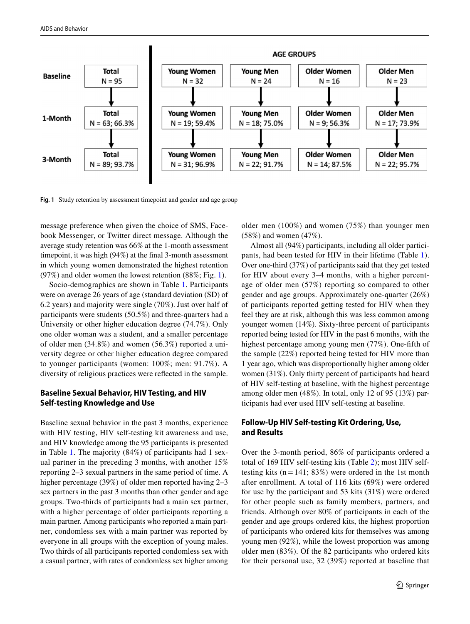

<span id="page-4-0"></span>**Fig. 1** Study retention by assessment timepoint and gender and age group

message preference when given the choice of SMS, Facebook Messenger, or Twitter direct message. Although the average study retention was 66% at the 1-month assessment timepoint, it was high (94%) at the fnal 3-month assessment in which young women demonstrated the highest retention (97%) and older women the lowest retention (88%; Fig. [1](#page-4-0)).

Socio-demographics are shown in Table [1](#page-5-0). Participants were on average 26 years of age (standard deviation (SD) of 6.2 years) and majority were single (70%). Just over half of participants were students (50.5%) and three-quarters had a University or other higher education degree (74.7%). Only one older woman was a student, and a smaller percentage of older men (34.8%) and women (56.3%) reported a university degree or other higher education degree compared to younger participants (women: 100%; men: 91.7%). A diversity of religious practices were refected in the sample.

# **Baseline Sexual Behavior, HIV Testing, and HIV Self‑testing Knowledge and Use**

Baseline sexual behavior in the past 3 months, experience with HIV testing, HIV self-testing kit awareness and use, and HIV knowledge among the 95 participants is presented in Table [1](#page-5-0). The majority (84%) of participants had 1 sexual partner in the preceding 3 months, with another 15% reporting 2–3 sexual partners in the same period of time. A higher percentage (39%) of older men reported having 2–3 sex partners in the past 3 months than other gender and age groups. Two-thirds of participants had a main sex partner, with a higher percentage of older participants reporting a main partner. Among participants who reported a main partner, condomless sex with a main partner was reported by everyone in all groups with the exception of young males. Two thirds of all participants reported condomless sex with a casual partner, with rates of condomless sex higher among older men (100%) and women (75%) than younger men (58%) and women (47%).

Almost all (94%) participants, including all older participants, had been tested for HIV in their lifetime (Table [1](#page-5-0)). Over one-third (37%) of participants said that they get tested for HIV about every 3–4 months, with a higher percentage of older men (57%) reporting so compared to other gender and age groups. Approximately one-quarter (26%) of participants reported getting tested for HIV when they feel they are at risk, although this was less common among younger women (14%). Sixty-three percent of participants reported being tested for HIV in the past 6 months, with the highest percentage among young men (77%). One-ffth of the sample (22%) reported being tested for HIV more than 1 year ago, which was disproportionally higher among older women (31%). Only thirty percent of participants had heard of HIV self-testing at baseline, with the highest percentage among older men (48%). In total, only 12 of 95 (13%) participants had ever used HIV self-testing at baseline.

# **Follow‑Up HIV Self‑testing Kit Ordering, Use, and Results**

Over the 3-month period, 86% of participants ordered a total of 169 HIV self-testing kits (Table [2\)](#page-6-0); most HIV selftesting kits  $(n=141; 83%)$  were ordered in the 1st month after enrollment. A total of 116 kits (69%) were ordered for use by the participant and 53 kits (31%) were ordered for other people such as family members, partners, and friends. Although over 80% of participants in each of the gender and age groups ordered kits, the highest proportion of participants who ordered kits for themselves was among young men (92%), while the lowest proportion was among older men (83%). Of the 82 participants who ordered kits for their personal use, 32 (39%) reported at baseline that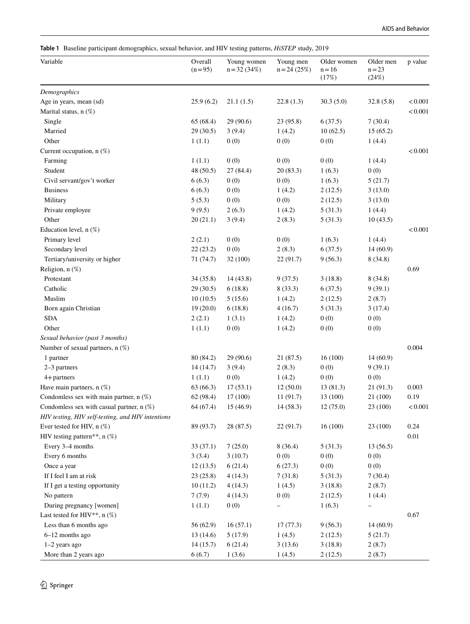<span id="page-5-0"></span>**Table 1** Baseline participant demographics, sexual behavior, and HIV testing patterns, *HiSTEP* study, 2019

| Variable                                          | Overall<br>$(n=95)$ | Young women<br>$n = 32(34%)$ | Young men<br>$n = 24(25%)$ | Older women<br>$n = 16$<br>(17%) | Older men<br>$n = 23$<br>(24%) | p value  |
|---------------------------------------------------|---------------------|------------------------------|----------------------------|----------------------------------|--------------------------------|----------|
| Demographics                                      |                     |                              |                            |                                  |                                |          |
| Age in years, mean (sd)                           | 25.9(6.2)           | 21.1(1.5)                    | 22.8(1.3)                  | 30.3(5.0)                        | 32.8(5.8)                      | < 0.001  |
| Marital status, $n$ $(\%)$                        |                     |                              |                            |                                  |                                | < 0.001  |
| Single                                            | 65 (68.4)           | 29(90.6)                     | 23 (95.8)                  | 6(37.5)                          | 7(30.4)                        |          |
| Married                                           | 29 (30.5)           | 3(9.4)                       | 1(4.2)                     | 10(62.5)                         | 15(65.2)                       |          |
| Other                                             | 1(1.1)              | 0(0)                         | 0(0)                       | 0(0)                             | 1(4.4)                         |          |
| Current occupation, n (%)                         |                     |                              |                            |                                  |                                | < 0.001  |
| Farming                                           | 1(1.1)              | 0(0)                         | 0(0)                       | 0(0)                             | 1(4.4)                         |          |
| Student                                           | 48 (50.5)           | 27(84.4)                     | 20(83.3)                   | 1(6.3)                           | 0(0)                           |          |
| Civil servant/gov't worker                        | 6(6.3)              | 0(0)                         | 0(0)                       | 1(6.3)                           | 5(21.7)                        |          |
| <b>Business</b>                                   | 6(6.3)              | 0(0)                         | 1(4.2)                     | 2(12.5)                          | 3(13.0)                        |          |
| Military                                          | 5(5.3)              | 0(0)                         | 0(0)                       | 2(12.5)                          | 3(13.0)                        |          |
| Private employee                                  | 9(9.5)              | 2(6.3)                       | 1(4.2)                     | 5(31.3)                          | 1(4.4)                         |          |
| Other                                             | 20(21.1)            | 3(9.4)                       | 2(8.3)                     | 5(31.3)                          | 10(43.5)                       |          |
| Education level, n (%)                            |                     |                              |                            |                                  |                                | < 0.001  |
| Primary level                                     | 2(2.1)              | 0(0)                         | 0(0)                       | 1(6.3)                           | 1(4.4)                         |          |
| Secondary level                                   | 22(23.2)            | 0(0)                         | 2(8.3)                     | 6(37.5)                          | 14(60.9)                       |          |
| Tertiary/university or higher                     | 71 (74.7)           | 32 (100)                     | 22(91.7)                   | 9(56.3)                          | 8(34.8)                        |          |
| Religion, n (%)                                   |                     |                              |                            |                                  |                                | 0.69     |
| Protestant                                        | 34 (35.8)           | 14(43.8)                     | 9(37.5)                    | 3(18.8)                          | 8(34.8)                        |          |
| Catholic                                          | 29 (30.5)           | 6(18.8)                      | 8(33.3)                    | 6(37.5)                          | 9(39.1)                        |          |
| Muslim                                            | 10(10.5)            | 5(15.6)                      | 1(4.2)                     | 2(12.5)                          | 2(8.7)                         |          |
| Born again Christian                              | 19(20.0)            | 6(18.8)                      | 4(16.7)                    | 5(31.3)                          | 3(17.4)                        |          |
| <b>SDA</b>                                        | 2(2.1)              | 1(3.1)                       | 1(4.2)                     | 0(0)                             | 0(0)                           |          |
| Other                                             | 1(1.1)              | 0(0)                         | 1(4.2)                     | 0(0)                             | 0(0)                           |          |
| Sexual behavior (past 3 months)                   |                     |                              |                            |                                  |                                |          |
| Number of sexual partners, $n$ (%)                |                     |                              |                            |                                  |                                | 0.004    |
| 1 partner                                         | 80 (84.2)           | 29(90.6)                     | 21(87.5)                   | 16(100)                          | 14(60.9)                       |          |
| $2-3$ partners                                    | 14(14.7)            | 3(9.4)                       | 2(8.3)                     | 0(0)                             | 9(39.1)                        |          |
| $4 +$ partners                                    | 1(1.1)              | 0(0)                         | 1(4.2)                     | 0(0)                             | 0(0)                           |          |
| Have main partners, $n$ (%)                       | 63 (66.3)           | 17(53.1)                     | 12(50.0)                   | 13 (81.3)                        | 21 (91.3)                      | 0.003    |
| Condomless sex with main partner, $n$ (%)         | 62 (98.4)           | 17(100)                      | 11(91.7)                   | 13 (100)                         | 21 (100)                       | 0.19     |
| Condomless sex with casual partner, $n$ (%)       | 64 (67.4)           | 15(46.9)                     | 14 (58.3)                  | 12(75.0)                         | 23 (100)                       | < 0.001  |
| HIV testing, HIV self-testing, and HIV intentions |                     |                              |                            |                                  |                                |          |
| Ever tested for HIV, $n$ $(\%)$                   | 89 (93.7)           | 28 (87.5)                    | 22(91.7)                   | 16(100)                          | 23 (100)                       | 0.24     |
| HIV testing pattern**, n (%)                      |                     |                              |                            |                                  |                                | $0.01\,$ |
| Every 3-4 months                                  | 33(37.1)            | 7(25.0)                      | 8(36.4)                    | 5(31.3)                          | 13(56.5)                       |          |
| Every 6 months                                    | 3(3.4)              | 3(10.7)                      | 0(0)                       | 0(0)                             | 0(0)                           |          |
| Once a year                                       | 12(13.5)            | 6(21.4)                      | 6(27.3)                    | 0(0)                             | 0(0)                           |          |
| If I feel I am at risk                            | 23(25.8)            | 4(14.3)                      | 7(31.8)                    | 5(31.3)                          | 7(30.4)                        |          |
| If I get a testing opportunity                    | 10(11.2)            | 4(14.3)                      | 1(4.5)                     | 3(18.8)                          | 2(8.7)                         |          |
| No pattern                                        | 7(7.9)              | 4(14.3)                      | 0(0)                       | 2(12.5)                          | 1(4.4)                         |          |
| During pregnancy [women]                          | 1(1.1)              | 0(0)                         |                            | 1(6.3)                           | $\qquad \qquad -$              |          |
| Last tested for HIV <sup>**</sup> , $n$ (%)       |                     |                              |                            |                                  |                                | 0.67     |
| Less than 6 months ago                            | 56 (62.9)           | 16(57.1)                     | 17(77.3)                   | 9(56.3)                          | 14(60.9)                       |          |
| 6-12 months ago                                   | 13(14.6)            | 5(17.9)                      | 1(4.5)                     | 2(12.5)                          | 5(21.7)                        |          |
| 1-2 years ago                                     | 14(15.7)            | 6(21.4)                      | 3(13.6)                    | 3(18.8)                          | 2(8.7)                         |          |
| More than 2 years ago                             | 6(6.7)              | 1(3.6)                       | 1(4.5)                     | 2(12.5)                          | 2(8.7)                         |          |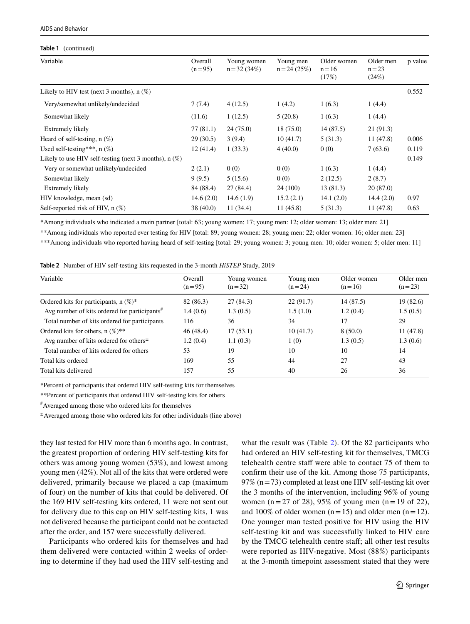#### AIDS and Behavior

#### **Table 1** (continued)

| Variable                                                | Overall<br>$(n=95)$ | Young women<br>$n = 32(34%)$ | Young men<br>$n = 24(25%)$ | Older women<br>$n = 16$<br>(17%) | Older men<br>$n = 23$<br>(24%) | p value |
|---------------------------------------------------------|---------------------|------------------------------|----------------------------|----------------------------------|--------------------------------|---------|
| Likely to HIV test (next 3 months), $n$ (%)             |                     |                              |                            |                                  |                                | 0.552   |
| Very/somewhat unlikely/undecided                        | 7(7.4)              | 4(12.5)                      | 1(4.2)                     | 1(6.3)                           | 1(4.4)                         |         |
| Somewhat likely                                         | (11.6)              | 1(12.5)                      | 5(20.8)                    | 1(6.3)                           | 1(4.4)                         |         |
| Extremely likely                                        | 77(81.1)            | 24(75.0)                     | 18(75.0)                   | 14(87.5)                         | 21(91.3)                       |         |
| Heard of self-testing, $n$ (%)                          | 29(30.5)            | 3(9.4)                       | 10(41.7)                   | 5(31.3)                          | 11(47.8)                       | 0.006   |
| Used self-testing***, $n$ (%)                           | 12(41.4)            | 1(33.3)                      | 4(40.0)                    | 0(0)                             | 7(63.6)                        | 0.119   |
| Likely to use HIV self-testing (next 3 months), $n$ (%) |                     |                              |                            |                                  |                                | 0.149   |
| Very or somewhat unlikely/undecided                     | 2(2.1)              | 0(0)                         | 0(0)                       | 1(6.3)                           | 1(4.4)                         |         |
| Somewhat likely                                         | 9(9.5)              | 5(15.6)                      | 0(0)                       | 2(12.5)                          | 2(8.7)                         |         |
| Extremely likely                                        | 84 (88.4)           | 27(84.4)                     | 24 (100)                   | 13(81.3)                         | 20(87.0)                       |         |
| HIV knowledge, mean (sd)                                | 14.6(2.0)           | 14.6(1.9)                    | 15.2(2.1)                  | 14.1(2.0)                        | 14.4(2.0)                      | 0.97    |
| Self-reported risk of HIV, $n$ (%)                      | 38 (40.0)           | 11(34.4)                     | 11(45.8)                   | 5(31.3)                          | 11(47.8)                       | 0.63    |
|                                                         |                     |                              |                            |                                  |                                |         |

\*Among individuals who indicated a main partner [total: 63; young women: 17; young men: 12; older women: 13; older men: 21]

\*\*Among individuals who reported ever testing for HIV [total: 89; young women: 28; young men: 22; older women: 16; older men: 23]

\*\*\*Among individuals who reported having heard of self-testing [total: 29; young women: 3; young men: 10; older women: 5; older men: 11]

<span id="page-6-0"></span>

|  | <b>Table 2</b> Number of HIV self-testing kits requested in the 3-month <i>HiSTEP</i> Study, 2019 |  |  |  |  |  |  |
|--|---------------------------------------------------------------------------------------------------|--|--|--|--|--|--|
|--|---------------------------------------------------------------------------------------------------|--|--|--|--|--|--|

| Variable                                                          | Overall<br>$(n=95)$ | Young women<br>$(n=32)$ | Young men<br>$(n=24)$ | Older women<br>$(n=16)$ | Older men<br>$(n=23)$ |
|-------------------------------------------------------------------|---------------------|-------------------------|-----------------------|-------------------------|-----------------------|
| Ordered kits for participants, $n$ (%)*                           | 82 (86.3)           | 27(84.3)                | 22(91.7)              | 14(87.5)                | 19(82.6)              |
| Avg number of kits ordered for participants <sup>#</sup>          | 1.4(0.6)            | 1.3(0.5)                | 1.5(1.0)              | 1.2(0.4)                | 1.5(0.5)              |
| Total number of kits ordered for participants                     | 116                 | 36                      | 34                    | 17                      | 29                    |
| Ordered kits for others, $n (\%)^{**}$                            | 46(48.4)            | 17(53.1)                | 10(41.7)              | 8(50.0)                 | 11(47.8)              |
| Avg number of kits ordered for others <sup><math>\pm</math></sup> | 1.2(0.4)            | 1.1(0.3)                | 1(0)                  | 1.3(0.5)                | 1.3(0.6)              |
| Total number of kits ordered for others                           | 53                  | 19                      | 10                    | 10                      | 14                    |
| Total kits ordered                                                | 169                 | 55                      | 44                    | 27                      | 43                    |
| Total kits delivered                                              | 157                 | 55                      | 40                    | 26                      | 36                    |

\*Percent of participants that ordered HIV self-testing kits for themselves

\*\*Percent of participants that ordered HIV self-testing kits for others

# Averaged among those who ordered kits for themselves

±Averaged among those who ordered kits for other individuals (line above)

they last tested for HIV more than 6 months ago. In contrast, the greatest proportion of ordering HIV self-testing kits for others was among young women (53%), and lowest among young men (42%). Not all of the kits that were ordered were delivered, primarily because we placed a cap (maximum of four) on the number of kits that could be delivered. Of the 169 HIV self-testing kits ordered, 11 were not sent out for delivery due to this cap on HIV self-testing kits, 1 was not delivered because the participant could not be contacted after the order, and 157 were successfully delivered.

Participants who ordered kits for themselves and had them delivered were contacted within 2 weeks of ordering to determine if they had used the HIV self-testing and what the result was (Table [2\)](#page-6-0). Of the 82 participants who had ordered an HIV self-testing kit for themselves, TMCG telehealth centre staff were able to contact 75 of them to confrm their use of the kit. Among those 75 participants, 97% ( $n=73$ ) completed at least one HIV self-testing kit over the 3 months of the intervention, including 96% of young women (n=27 of 28), 95% of young men (n=19 of 22), and 100% of older women  $(n=15)$  and older men  $(n=12)$ . One younger man tested positive for HIV using the HIV self-testing kit and was successfully linked to HIV care by the TMCG telehealth centre staff; all other test results were reported as HIV-negative. Most (88%) participants at the 3-month timepoint assessment stated that they were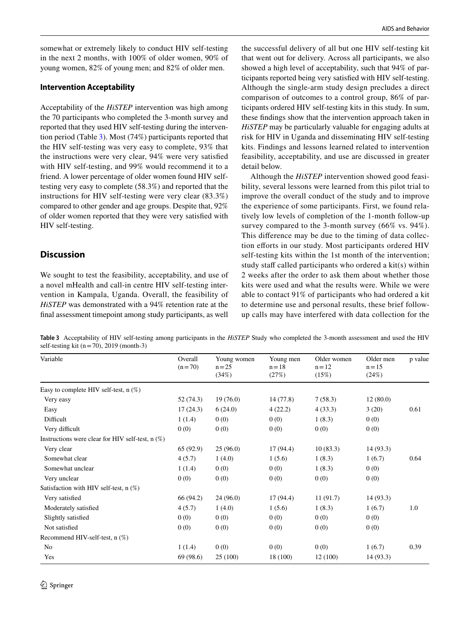somewhat or extremely likely to conduct HIV self-testing in the next 2 months, with 100% of older women, 90% of young women, 82% of young men; and 82% of older men.

# **Intervention Acceptability**

Acceptability of the *HiSTEP* intervention was high among the 70 participants who completed the 3-month survey and reported that they used HIV self-testing during the intervention period (Table [3\)](#page-7-0). Most (74%) participants reported that the HIV self-testing was very easy to complete, 93% that the instructions were very clear, 94% were very satisfed with HIV self-testing, and 99% would recommend it to a friend. A lower percentage of older women found HIV selftesting very easy to complete (58.3%) and reported that the instructions for HIV self-testing were very clear (83.3%) compared to other gender and age groups. Despite that, 92% of older women reported that they were very satisfed with HIV self-testing.

# **Discussion**

We sought to test the feasibility, acceptability, and use of a novel mHealth and call-in centre HIV self-testing intervention in Kampala, Uganda. Overall, the feasibility of *HiSTEP* was demonstrated with a 94% retention rate at the fnal assessment timepoint among study participants, as well the successful delivery of all but one HIV self-testing kit that went out for delivery. Across all participants, we also showed a high level of acceptability, such that 94% of participants reported being very satisfed with HIV self-testing. Although the single-arm study design precludes a direct comparison of outcomes to a control group, 86% of participants ordered HIV self-testing kits in this study. In sum, these fndings show that the intervention approach taken in *HiSTEP* may be particularly valuable for engaging adults at risk for HIV in Uganda and disseminating HIV self-testing kits. Findings and lessons learned related to intervention feasibility, acceptability, and use are discussed in greater detail below.

Although the *HiSTEP* intervention showed good feasibility, several lessons were learned from this pilot trial to improve the overall conduct of the study and to improve the experience of some participants. First, we found relatively low levels of completion of the 1-month follow-up survey compared to the 3-month survey (66% vs. 94%). This diference may be due to the timing of data collection efforts in our study. Most participants ordered HIV self-testing kits within the 1st month of the intervention; study staff called participants who ordered a  $kit(s)$  within 2 weeks after the order to ask them about whether those kits were used and what the results were. While we were able to contact 91% of participants who had ordered a kit to determine use and personal results, these brief followup calls may have interfered with data collection for the

<span id="page-7-0"></span>**Table 3** Acceptability of HIV self-testing among participants in the *HiSTEP* Study who completed the 3-month assessment and used the HIV self-testing kit ( $n=70$ ), 2019 (month-3)

| Variable                                              | Overall<br>$(n=70)$ | Young women<br>$n = 25$<br>(34%) | Young men<br>$n = 18$<br>(27%) | Older women<br>$n = 12$<br>(15%) | Older men<br>$n = 15$<br>(24%) | p value |
|-------------------------------------------------------|---------------------|----------------------------------|--------------------------------|----------------------------------|--------------------------------|---------|
| Easy to complete HIV self-test, $n$ (%)               |                     |                                  |                                |                                  |                                |         |
| Very easy                                             | 52 (74.3)           | 19(76.0)                         | 14(77.8)                       | 7(58.3)                          | 12(80.0)                       |         |
| Easy                                                  | 17(24.3)            | 6(24.0)                          | 4(22.2)                        | 4(33.3)                          | 3(20)                          | 0.61    |
| Difficult                                             | 1(1.4)              | 0(0)                             | 0(0)                           | 1(8.3)                           | 0(0)                           |         |
| Very difficult                                        | 0(0)                | 0(0)                             | 0(0)                           | 0(0)                             | 0(0)                           |         |
| Instructions were clear for HIV self-test, $n$ $(\%)$ |                     |                                  |                                |                                  |                                |         |
| Very clear                                            | 65 (92.9)           | 25(96.0)                         | 17(94.4)                       | 10(83.3)                         | 14(93.3)                       |         |
| Somewhat clear                                        | 4(5.7)              | 1(4.0)                           | 1(5.6)                         | 1(8.3)                           | 1(6.7)                         | 0.64    |
| Somewhat unclear                                      | 1(1.4)              | 0(0)                             | 0(0)                           | 1(8.3)                           | 0(0)                           |         |
| Very unclear                                          | 0(0)                | 0(0)                             | 0(0)                           | 0(0)                             | 0(0)                           |         |
| Satisfaction with HIV self-test, n (%)                |                     |                                  |                                |                                  |                                |         |
| Very satisfied                                        | 66 (94.2)           | 24(96.0)                         | 17(94.4)                       | 11(91.7)                         | 14(93.3)                       |         |
| Moderately satisfied                                  | 4(5.7)              | 1(4.0)                           | 1(5.6)                         | 1(8.3)                           | 1(6.7)                         | 1.0     |
| Slightly satisfied                                    | 0(0)                | 0(0)                             | 0(0)                           | 0(0)                             | 0(0)                           |         |
| Not satisfied                                         | 0(0)                | 0(0)                             | 0(0)                           | 0(0)                             | 0(0)                           |         |
| Recommend HIV-self-test, n (%)                        |                     |                                  |                                |                                  |                                |         |
| N <sub>0</sub>                                        | 1(1.4)              | 0(0)                             | 0(0)                           | 0(0)                             | 1(6.7)                         | 0.39    |
| Yes                                                   | 69 (98.6)           | 25 (100)                         | 18 (100)                       | 12 (100)                         | 14(93.3)                       |         |
|                                                       |                     |                                  |                                |                                  |                                |         |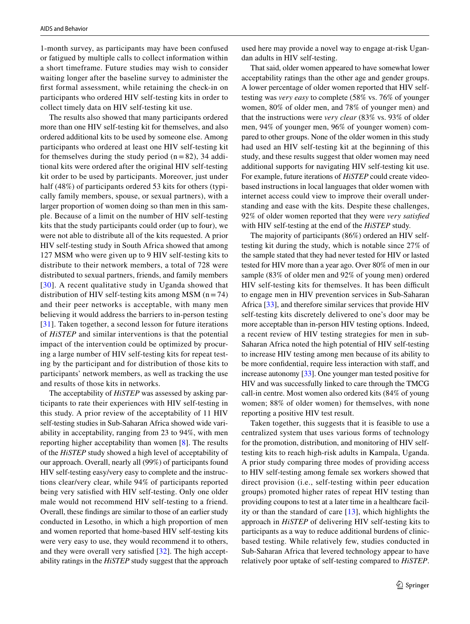1-month survey, as participants may have been confused or fatigued by multiple calls to collect information within a short timeframe. Future studies may wish to consider waiting longer after the baseline survey to administer the frst formal assessment, while retaining the check-in on participants who ordered HIV self-testing kits in order to collect timely data on HIV self-testing kit use.

The results also showed that many participants ordered more than one HIV self-testing kit for themselves, and also ordered additional kits to be used by someone else. Among participants who ordered at least one HIV self-testing kit for themselves during the study period  $(n=82)$ , 34 additional kits were ordered after the original HIV self-testing kit order to be used by participants. Moreover, just under half (48%) of participants ordered 53 kits for others (typically family members, spouse, or sexual partners), with a larger proportion of women doing so than men in this sample. Because of a limit on the number of HIV self-testing kits that the study participants could order (up to four), we were not able to distribute all of the kits requested. A prior HIV self-testing study in South Africa showed that among 127 MSM who were given up to 9 HIV self-testing kits to distribute to their network members, a total of 728 were distributed to sexual partners, friends, and family members [[30](#page-10-25)]. A recent qualitative study in Uganda showed that distribution of HIV self-testing kits among MSM  $(n=74)$ and their peer networks is acceptable, with many men believing it would address the barriers to in-person testing [[31\]](#page-10-26). Taken together, a second lesson for future iterations of *HiSTEP* and similar interventions is that the potential impact of the intervention could be optimized by procuring a large number of HIV self-testing kits for repeat testing by the participant and for distribution of those kits to participants' network members, as well as tracking the use and results of those kits in networks.

The acceptability of *HiSTEP* was assessed by asking participants to rate their experiences with HIV self-testing in this study. A prior review of the acceptability of 11 HIV self-testing studies in Sub-Saharan Africa showed wide variability in acceptability, ranging from 23 to 94%, with men reporting higher acceptability than women [\[8](#page-10-6)]. The results of the *HiSTEP* study showed a high level of acceptability of our approach. Overall, nearly all (99%) of participants found HIV self-testing easy/very easy to complete and the instructions clear/very clear, while 94% of participants reported being very satisfed with HIV self-testing. Only one older male would not recommend HIV self-testing to a friend. Overall, these fndings are similar to those of an earlier study conducted in Lesotho, in which a high proportion of men and women reported that home-based HIV self-testing kits were very easy to use, they would recommend it to others, and they were overall very satisfed [[32\]](#page-10-27). The high acceptability ratings in the *HiSTEP* study suggest that the approach used here may provide a novel way to engage at-risk Ugandan adults in HIV self-testing.

That said, older women appeared to have somewhat lower acceptability ratings than the other age and gender groups. A lower percentage of older women reported that HIV selftesting was *very easy* to complete (58% vs. 76% of younger women, 80% of older men, and 78% of younger men) and that the instructions were *very clear* (83% vs. 93% of older men, 94% of younger men, 96% of younger women) compared to other groups. None of the older women in this study had used an HIV self-testing kit at the beginning of this study, and these results suggest that older women may need additional supports for navigating HIV self-testing kit use. For example, future iterations of *HiSTEP* could create videobased instructions in local languages that older women with internet access could view to improve their overall understanding and ease with the kits. Despite these challenges, 92% of older women reported that they were *very satisfed* with HIV self-testing at the end of the *HiSTEP* study.

The majority of participants (86%) ordered an HIV selftesting kit during the study, which is notable since 27% of the sample stated that they had never tested for HIV or lasted tested for HIV more than a year ago. Over 80% of men in our sample (83% of older men and 92% of young men) ordered HIV self-testing kits for themselves. It has been difficult to engage men in HIV prevention services in Sub-Saharan Africa [[33\]](#page-10-28), and therefore similar services that provide HIV self-testing kits discretely delivered to one's door may be more acceptable than in-person HIV testing options. Indeed, a recent review of HIV testing strategies for men in sub-Saharan Africa noted the high potential of HIV self-testing to increase HIV testing among men because of its ability to be more confidential, require less interaction with staff, and increase autonomy [\[33](#page-10-28)]. One younger man tested positive for HIV and was successfully linked to care through the TMCG call-in centre. Most women also ordered kits (84% of young women; 88% of older women) for themselves, with none reporting a positive HIV test result.

Taken together, this suggests that it is feasible to use a centralized system that uses various forms of technology for the promotion, distribution, and monitoring of HIV selftesting kits to reach high-risk adults in Kampala, Uganda. A prior study comparing three modes of providing access to HIV self-testing among female sex workers showed that direct provision (i.e., self-testing within peer education groups) promoted higher rates of repeat HIV testing than providing coupons to test at a later time in a healthcare facility or than the standard of care [\[13\]](#page-10-11), which highlights the approach in *HiSTEP* of delivering HIV self-testing kits to participants as a way to reduce additional burdens of clinicbased testing. While relatively few, studies conducted in Sub-Saharan Africa that levered technology appear to have relatively poor uptake of self-testing compared to *HiSTEP*.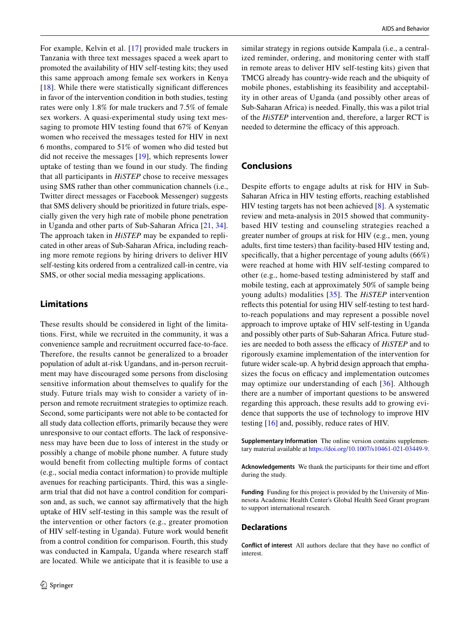For example, Kelvin et al. [[17](#page-10-15)] provided male truckers in Tanzania with three text messages spaced a week apart to promoted the availability of HIV self-testing kits; they used this same approach among female sex workers in Kenya [\[18\]](#page-10-29). While there were statistically signifcant diferences in favor of the intervention condition in both studies, testing rates were only 1.8% for male truckers and 7.5% of female sex workers. A quasi-experimental study using text messaging to promote HIV testing found that 67% of Kenyan women who received the messages tested for HIV in next 6 months, compared to 51% of women who did tested but did not receive the messages [\[19](#page-10-16)], which represents lower uptake of testing than we found in our study. The fnding that all participants in *HiSTEP* chose to receive messages using SMS rather than other communication channels (i.e., Twitter direct messages or Facebook Messenger) suggests that SMS delivery should be prioritized in future trials, especially given the very high rate of mobile phone penetration in Uganda and other parts of Sub-Saharan Africa [[21,](#page-10-18) [34](#page-10-30)]. The approach taken in *HiSTEP* may be expanded to replicated in other areas of Sub-Saharan Africa, including reaching more remote regions by hiring drivers to deliver HIV self-testing kits ordered from a centralized call-in centre, via SMS, or other social media messaging applications.

# **Limitations**

These results should be considered in light of the limitations. First, while we recruited in the community, it was a convenience sample and recruitment occurred face-to-face. Therefore, the results cannot be generalized to a broader population of adult at-risk Ugandans, and in-person recruitment may have discouraged some persons from disclosing sensitive information about themselves to qualify for the study. Future trials may wish to consider a variety of inperson and remote recruitment strategies to optimize reach. Second, some participants were not able to be contacted for all study data collection efforts, primarily because they were unresponsive to our contact efforts. The lack of responsiveness may have been due to loss of interest in the study or possibly a change of mobile phone number. A future study would beneft from collecting multiple forms of contact (e.g., social media contact information) to provide multiple avenues for reaching participants. Third, this was a singlearm trial that did not have a control condition for comparison and, as such, we cannot say affirmatively that the high uptake of HIV self-testing in this sample was the result of the intervention or other factors (e.g., greater promotion of HIV self-testing in Uganda). Future work would beneft from a control condition for comparison. Fourth, this study was conducted in Kampala, Uganda where research staf are located. While we anticipate that it is feasible to use a similar strategy in regions outside Kampala (i.e., a centralized reminder, ordering, and monitoring center with staff in remote areas to deliver HIV self-testing kits) given that TMCG already has country-wide reach and the ubiquity of mobile phones, establishing its feasibility and acceptability in other areas of Uganda (and possibly other areas of Sub-Saharan Africa) is needed. Finally, this was a pilot trial of the *HiSTEP* intervention and, therefore, a larger RCT is needed to determine the efficacy of this approach.

# **Conclusions**

Despite efforts to engage adults at risk for HIV in Sub-Saharan Africa in HIV testing efforts, reaching established HIV testing targets has not been achieved [[8\]](#page-10-6). A systematic review and meta-analysis in 2015 showed that communitybased HIV testing and counseling strategies reached a greater number of groups at risk for HIV (e.g., men, young adults, frst time testers) than facility-based HIV testing and, specifcally, that a higher percentage of young adults (66%) were reached at home with HIV self-testing compared to other (e.g., home-based testing administered by staff and mobile testing, each at approximately 50% of sample being young adults) modalities [\[35\]](#page-11-0). The *HiSTEP* intervention refects this potential for using HIV self-testing to test hardto-reach populations and may represent a possible novel approach to improve uptake of HIV self-testing in Uganda and possibly other parts of Sub-Saharan Africa. Future studies are needed to both assess the efficacy of *HiSTEP* and to rigorously examine implementation of the intervention for future wider scale-up. A hybrid design approach that emphasizes the focus on efficacy and implementation outcomes may optimize our understanding of each [[36](#page-11-1)]. Although there are a number of important questions to be answered regarding this approach, these results add to growing evidence that supports the use of technology to improve HIV testing [[16\]](#page-10-14) and, possibly, reduce rates of HIV.

**Supplementary Information** The online version contains supplementary material available at<https://doi.org/10.1007/s10461-021-03449-9>.

Acknowledgements We thank the participants for their time and effort during the study.

**Funding** Funding for this project is provided by the University of Minnesota Academic Health Center's Global Health Seed Grant program to support international research.

#### **Declarations**

**Conflict of interest** All authors declare that they have no confict of interest.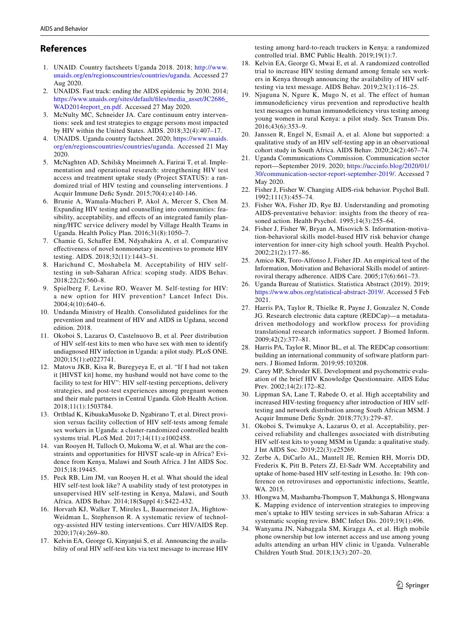# **References**

- <span id="page-10-0"></span>1. UNAID. Country factsheets Uganda 2018. 2018; [http://www.](http://www.unaids.org/en/regionscountries/countries/uganda) [unaids.org/en/regionscountries/countries/uganda.](http://www.unaids.org/en/regionscountries/countries/uganda) Accessed 27 Aug 2020.
- <span id="page-10-1"></span>2. UNAIDS. Fast track: ending the AIDS epidemic by 2030. 2014; [https://www.unaids.org/sites/default/fles/media\\_asset/JC2686\\_](https://www.unaids.org/sites/default/files/media_asset/JC2686_WAD2014report_en.pdf) [WAD2014report\\_en.pdf.](https://www.unaids.org/sites/default/files/media_asset/JC2686_WAD2014report_en.pdf) Accessed 27 May 2020.
- <span id="page-10-2"></span>3. McNulty MC, Schneider JA. Care continuum entry interventions: seek and test strategies to engage persons most impacted by HIV within the United States. AIDS. 2018;32(4):407–17.
- <span id="page-10-3"></span>4. UNAIDS. Uganda country factsheet. 2020; [https://www.unaids.](https://www.unaids.org/en/regionscountries/countries/uganda) [org/en/regionscountries/countries/uganda.](https://www.unaids.org/en/regionscountries/countries/uganda) Accessed 21 May 2020.
- <span id="page-10-4"></span>5. McNaghten AD, Schilsky Mneimneh A, Farirai T, et al. Implementation and operational research: strengthening HIV test access and treatment uptake study (Project STATUS): a randomized trial of HIV testing and counseling interventions. J Acquir Immune Defc Syndr. 2015;70(4):e140-146.
- 6. Brunie A, Wamala-Mucheri P, Akol A, Mercer S, Chen M. Expanding HIV testing and counselling into communities: feasibility, acceptability, and effects of an integrated family planning/HTC service delivery model by Village Health Teams in Uganda. Health Policy Plan. 2016;31(8):1050–7.
- <span id="page-10-5"></span>7. Chamie G, Schafer EM, Ndyabakira A, et al. Comparative efectiveness of novel nonmonetary incentives to promote HIV testing. AIDS. 2018;32(11):1443–51.
- <span id="page-10-6"></span>8. Harichund C, Moshabela M. Acceptability of HIV selftesting in sub-Saharan Africa: scoping study. AIDS Behav. 2018;22(2):560–8.
- <span id="page-10-7"></span>9. Spielberg F, Levine RO, Weaver M. Self-testing for HIV: a new option for HIV prevention? Lancet Infect Dis. 2004;4(10):640–6.
- <span id="page-10-8"></span>10. Undanda Ministry of Health. Consolidated guidelines for the prevention and treatment of HIV and AIDS in Ugdana, second edition. 2018.
- <span id="page-10-9"></span>11. Okoboi S, Lazarus O, Castelnuovo B, et al. Peer distribution of HIV self-test kits to men who have sex with men to identify undiagnosed HIV infection in Uganda: a pilot study. PLoS ONE. 2020;15(1):e0227741.
- <span id="page-10-10"></span>12. Matovu JKB, Kisa R, Buregyeya E, et al. "If I had not taken it [HIVST kit] home, my husband would not have come to the facility to test for HIV": HIV self-testing perceptions, delivery strategies, and post-test experiences among pregnant women and their male partners in Central Uganda. Glob Health Action. 2018;11(1):1503784.
- <span id="page-10-11"></span>13. Ortblad K, KibuukaMusoke D, Ngabirano T, et al. Direct provision versus facility collection of HIV self-tests among female sex workers in Uganda: a cluster-randomized controlled health systems trial. PLoS Med. 2017;14(11):e1002458.
- <span id="page-10-12"></span>14. van Rooyen H, Tulloch O, Mukoma W, et al. What are the constraints and opportunities for HIVST scale-up in Africa? Evidence from Kenya, Malawi and South Africa. J Int AIDS Soc. 2015;18:19445.
- <span id="page-10-13"></span>15. Peck RB, Lim JM, van Rooyen H, et al. What should the ideal HIV self-test look like? A usability study of test prototypes in unsupervised HIV self-testing in Kenya, Malawi, and South Africa. AIDS Behav. 2014;18(Suppl 4):S422-432.
- <span id="page-10-14"></span>16. Horvath KJ, Walker T, Mireles L, Bauermeister JA, Hightow-Weidman L, Stephenson R. A systematic review of technology-assisted HIV testing interventions. Curr HIV/AIDS Rep. 2020;17(4):269–80.
- <span id="page-10-15"></span>17. Kelvin EA, George G, Kinyanjui S, et al. Announcing the availability of oral HIV self-test kits via text message to increase HIV

testing among hard-to-reach truckers in Kenya: a randomized controlled trial. BMC Public Health. 2019;19(1):7.

- <span id="page-10-29"></span>18. Kelvin EA, George G, Mwai E, et al. A randomized controlled trial to increase HIV testing demand among female sex workers in Kenya through announcing the availability of HIV selftesting via text message. AIDS Behav. 2019;23(1):116–25.
- <span id="page-10-16"></span>19. Njuguna N, Ngure K, Mugo N, et al. The effect of human immunodefciency virus prevention and reproductive health text messages on human immunodeficiency virus testing among young women in rural Kenya: a pilot study. Sex Transm Dis. 2016;43(6):353–9.
- <span id="page-10-17"></span>20. Janssen R, Engel N, Esmail A, et al. Alone but supported: a qualitative study of an HIV self-testing app in an observational cohort study in South Africa. AIDS Behav. 2020;24(2):467–74.
- <span id="page-10-18"></span>21. Uganda Communications Commission. Communication sector report—September 2019. 2020; [https://uccinfo.blog/2020/01/](https://uccinfo.blog/2020/01/30/communication-sector-report-september-2019/) [30/communication-sector-report-september-2019/](https://uccinfo.blog/2020/01/30/communication-sector-report-september-2019/). Accessed 7 May 2020.
- <span id="page-10-19"></span>22. Fisher J, Fisher W. Changing AIDS-risk behavior. Psychol Bull. 1992;111(3):455–74.
- 23. Fisher WA, Fisher JD, Rye BJ. Understanding and promoting AIDS-preventative behavior: insights from the theory of reasoned action. Health Psychol. 1995;14(3):255–64.
- 24. Fisher J, Fisher W, Bryan A, Misovich S. Information-motivation-behavioral skills model-based HIV risk behavior change intervention for inner-city high school youth. Health Psychol. 2002;21(2):177–86.
- <span id="page-10-20"></span>25. Amico KR, Toro-Alfonso J, Fisher JD. An empirical test of the Information, Motivation and Behavioral Skills model of antiretroviral therapy adherence. AIDS Care. 2005;17(6):661–73.
- <span id="page-10-21"></span>26. Uganda Bureau of Statistics. Statistica Abstract (2019). 2019; [https://www.ubos.org/statistical-abstract-2019/.](https://www.ubos.org/statistical-abstract-2019/) Accessed 5 Feb 2021.
- <span id="page-10-22"></span>27. Harris PA, Taylor R, Thielke R, Payne J, Gonzalez N, Conde JG. Research electronic data capture (REDCap)—a metadatadriven methodology and workflow process for providing translational research informatics support. J Biomed Inform. 2009;42(2):377–81.
- <span id="page-10-23"></span>28. Harris PA, Taylor R, Minor BL, et al. The REDCap consortium: building an international community of software platform partners. J Biomed Inform. 2019;95:103208.
- <span id="page-10-24"></span>29. Carey MP, Schroder KE. Development and psychometric evaluation of the brief HIV Knowledge Questionnaire. AIDS Educ Prev. 2002;14(2):172–82.
- <span id="page-10-25"></span>30. Lippman SA, Lane T, Rabede O, et al. High acceptability and increased HIV-testing frequency after introduction of HIV selftesting and network distribution among South African MSM. J Acquir Immune Defc Syndr. 2018;77(3):279–87.
- <span id="page-10-26"></span>31. Okoboi S, Twimukye A, Lazarus O, et al. Acceptability, perceived reliability and challenges associated with distributing HIV self-test kits to young MSM in Uganda: a qualitative study. J Int AIDS Soc. 2019;22(3):e25269.
- <span id="page-10-27"></span>32. Zerbe A, DiCarlo AL, Mantell JE, Remien RH, Morris DD, Frederix K, Pitt B, Peters ZJ, El-Sadr WM. Acceptability and uptake of home-based HIV self-testing in Lesotho. In: 19th conference on retroviruses and opportunistic infections, Seattle, WA. 2015.
- <span id="page-10-28"></span>33. Hlongwa M, Mashamba-Thompson T, Makhunga S, Hlongwana K. Mapping evidence of intervention strategies to improving men's uptake to HIV testing services in sub-Saharan Africa: a systematic scoping review. BMC Infect Dis. 2019;19(1):496.
- <span id="page-10-30"></span>34. Wanyama JN, Nabaggala SM, Kiragga A, et al. High mobile phone ownership but low internet access and use among young adults attending an urban HIV clinic in Uganda. Vulnerable Children Youth Stud. 2018;13(3):207–20.